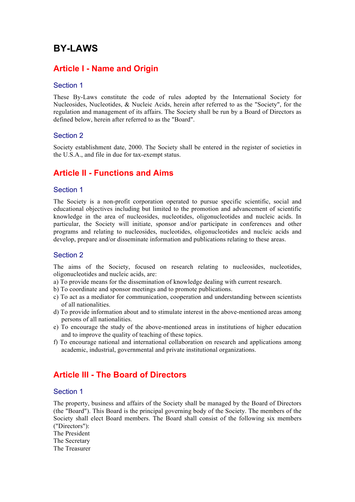# **BY-LAWS**

# **Article I - Name and Origin**

#### Section 1

These By-Laws constitute the code of rules adopted by the International Society for Nucleosides, Nucleotides, & Nucleic Acids, herein after referred to as the "Society", for the regulation and management of its affairs. The Society shall be run by a Board of Directors as defined below, herein after referred to as the "Board".

#### Section 2

Society establishment date, 2000. The Society shall be entered in the register of societies in the U.S.A., and file in due for tax-exempt status.

# **Article II - Functions and Aims**

#### Section 1

The Society is a non-profit corporation operated to pursue specific scientific, social and educational objectives including but limited to the promotion and advancement of scientific knowledge in the area of nucleosides, nucleotides, oligonucleotides and nucleic acids. In particular, the Society will initiate, sponsor and/or participate in conferences and other programs and relating to nucleosides, nucleotides, oligonucleotides and nucleic acids and develop, prepare and/or disseminate information and publications relating to these areas.

#### Section 2

The aims of the Society, focused on research relating to nucleosides, nucleotides, oligonucleotides and nucleic acids, are:

- a) To provide means for the dissemination of knowledge dealing with current research.
- b) To coordinate and sponsor meetings and to promote publications.
- c) To act as a mediator for communication, cooperation and understanding between scientists of all nationalities.
- d) To provide information about and to stimulate interest in the above-mentioned areas among persons of all nationalities.
- e) To encourage the study of the above-mentioned areas in institutions of higher education and to improve the quality of teaching of these topics.
- f) To encourage national and international collaboration on research and applications among academic, industrial, governmental and private institutional organizations.

# **Article III - The Board of Directors**

#### Section 1

The property, business and affairs of the Society shall be managed by the Board of Directors (the "Board"). This Board is the principal governing body of the Society. The members of the Society shall elect Board members. The Board shall consist of the following six members ("Directors"):

The President

The Secretary

The Treasurer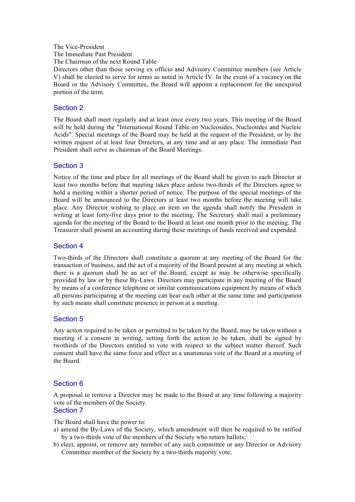#### The Vice-President

The Immediate Past President

The Chairman of the next Round Table

Directors other than those serving ex officio and Advisory Committee members (see Article V) shall be elected to serve for terms as noted in Article IV. In the event of a vacancy on the Board or the Advisory Committee, the Board will appoint a replacement for the unexpired portion of the term.

## Section 2

The Board shall meet regularly and at least once every two years. This meeting of the Board will be held during the "International Round Table on Nucleosides, Nucleotides and Nucleic Acids". Special meetings of the Board may be held at the request of the President, or by the written request of at least four Directors, at any time and at any place. The immediate Past President shall serve as chairman of the Board Meetings.

#### Section 3

Notice of the time and place for all meetings of the Board shall be given to each Director at least two months before that meeting takes place unless two-thirds of the Directors agree to hold a meeting within a shorter period of notice. The purpose of the special meetings of the Board will be announced to the Directors at least two months before the meeting will take place. Any Director wishing to place an item on the agenda shall notify the President in writing at least forty-five days prior to the meeting. The Secretary shall mail a preliminary agenda for the meeting of the Board to the Board at least one month prior to the meeting. The Treasurer shall present an accounting during these meetings of funds received and expended.

#### Section 4

Two-thirds of the Directors shall constitute a quorum at any meeting of the Board for the transaction of business, and the act of a majority of the Board present at any meeting at which there is a quorum shall be an act of the Board, except as may be otherwise specifically provided by law or by these By-Laws. Directors may participate in any meeting of the Board by means of a conference telephone or similar communications equipment by means of which all persons participating at the meeting can hear each other at the same time and participation by such means shall constitute presence in person at a meeting.

## Section 5

Any action required to be taken or permitted to be taken by the Board, may be taken without a meeting if a consent in writing, setting forth the action to be taken, shall be signed by twothirds of the Directors entitled to vote with respect to the subject matter thereof. Such consent shall have the same force and effect as a unanimous vote of the Board at a meeting of the Board.

## Section 6

A proposal to remove a Director may be made to the Board at any time following a majority vote of the members of the Society.

#### Section 7

The Board shall have the power to:

- a) amend the By-Laws of the Society, which amendment will then be required to be ratified by a two-thirds vote of the members of the Society who return ballots;
- b) elect, appoint, or remove any member of any such committee or any Director or Advisory Committee member of the Society by a two-thirds majority vote;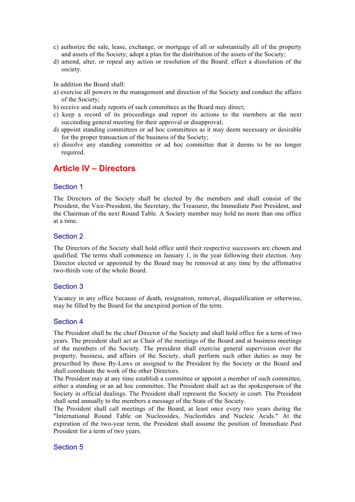- c) authorize the sale, lease, exchange, or mortgage of all or substantially all of the property and assets of the Society; adopt a plan for the distribution of the assets of the Society;
- d) amend, alter, or repeal any action or resolution of the Board; effect a dissolution of the society.

In addition the Board shall:

- a) exercise all powers in the management and direction of the Society and conduct the affairs of the Society;
- b) receive and study reports of such committees as the Board may direct;
- c) keep a record of its proceedings and report its actions to the members at the next succeeding general meeting for their approval or disapproval;
- d) appoint standing committees or ad hoc committees as it may deem necessary or desirable for the proper transaction of the business of the Society;
- e) dissolve any standing committee or ad hoc committee that it deems to be no longer required.

# **Article IV – Directors**

#### Section 1

The Directors of the Society shall be elected by the members and shall consist of the President, the Vice-President, the Secretary, the Treasurer, the Immediate Past President, and the Chairman of the next Round Table. A Society member may hold no more than one office at a time.

#### Section 2

The Directors of the Society shall hold office until their respective successors are chosen and qualified. The terms shall commence on January 1, in the year following their election. Any Director elected or appointed by the Board may be removed at any time by the affirmative two-thirds vote of the whole Board.

#### Section 3

Vacancy in any office because of death, resignation, removal, disqualification or otherwise, may be filled by the Board for the unexpired portion of the term.

#### Section 4

The President shall be the chief Director of the Society and shall hold office for a term of two years. The president shall act as Chair of the meetings of the Board and at business meetings of the members of the Society. The president shall exercise general supervision over the property, business, and affairs of the Society, shall perform such other duties as may be prescribed by these By-Laws or assigned to the President by the Society or the Board and shall coordinate the work of the other Directors.

The President may at any time establish a committee or appoint a member of such committee, either a standing or an ad hoc committee. The President shall act as the spokesperson of the Society in official dealings. The President shall represent the Society in court. The President shall send annually to the members a message of the State of the Society.

The President shall call meetings of the Board, at least once every two years during the "International Round Table on Nucleosides, Nucleotides and Nucleic Acids." At the expiration of the two-year term, the President shall assume the position of Immediate Past President for a term of two years.

#### Section 5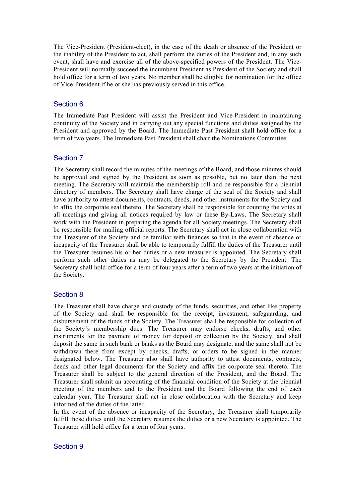The Vice-President (President-elect), in the case of the death or absence of the President or the inability of the President to act, shall perform the duties of the President and, in any such event, shall have and exercise all of the above-specified powers of the President. The Vice-President will normally succeed the incumbent President as President of the Society and shall hold office for a term of two years. No member shall be eligible for nomination for the office of Vice-President if he or she has previously served in this office.

## Section 6

The Immediate Past President will assist the President and Vice-President in maintaining continuity of the Society and in carrying out any special functions and duties assigned by the President and approved by the Board. The Immediate Past President shall hold office for a term of two years. The Immediate Past President shall chair the Nominations Committee.

## Section 7

The Secretary shall record the minutes of the meetings of the Board, and those minutes should be approved and signed by the President as soon as possible, but no later than the next meeting. The Secretary will maintain the membership roll and be responsible for a biennial directory of members. The Secretary shall have charge of the seal of the Society and shall have authority to attest documents, contracts, deeds, and other instruments for the Society and to affix the corporate seal thereto. The Secretary shall be responsible for counting the votes at all meetings and giving all notices required by law or these By-Laws. The Secretary shall work with the President in preparing the agenda for all Society meetings. The Secretary shall be responsible for mailing official reports. The Secretary shall act in close collaboration with the Treasurer of the Society and be familiar with finances so that in the event of absence or incapacity of the Treasurer shall be able to temporarily fulfill the duties of the Treasurer until the Treasurer resumes his or her duties or a new treasurer is appointed. The Secretary shall perform such other duties as may be delegated to the Secretary by the President. The Secretary shall hold office for a term of four years after a term of two years at the initiation of the Society.

## Section 8

The Treasurer shall have charge and custody of the funds, securities, and other like property of the Society and shall be responsible for the receipt, investment, safeguarding, and disbursement of the funds of the Society. The Treasurer shall be responsible for collection of the Society's membership dues. The Treasurer may endorse checks, drafts, and other instruments for the payment of money for deposit or collection by the Society, and shall deposit the same in such bank or banks as the Board may designate, and the same shall not be withdrawn there from except by checks, drafts, or orders to be signed in the manner designated below. The Treasurer also shall have authority to attest documents, contracts, deeds and other legal documents for the Society and affix the corporate seal thereto. The Treasurer shall be subject to the general direction of the President, and the Board. The Treasurer shall submit an accounting of the financial condition of the Society at the biennial meeting of the members and to the President and the Board following the end of each calendar year. The Treasurer shall act in close collaboration with the Secretary and keep informed of the duties of the latter.

In the event of the absence or incapacity of the Secretary, the Treasurer shall temporarily fulfill those duties until the Secretary resumes the duties or a new Secretary is appointed. The Treasurer will hold office for a term of four years.

## Section 9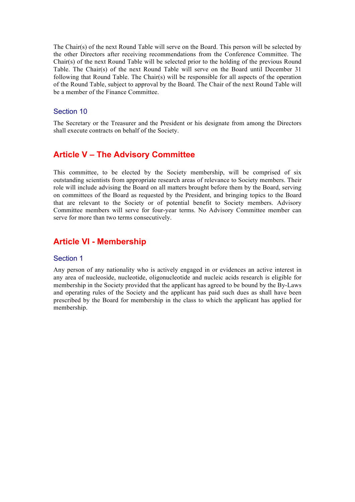The Chair(s) of the next Round Table will serve on the Board. This person will be selected by the other Directors after receiving recommendations from the Conference Committee. The Chair(s) of the next Round Table will be selected prior to the holding of the previous Round Table. The Chair(s) of the next Round Table will serve on the Board until December 31 following that Round Table. The Chair(s) will be responsible for all aspects of the operation of the Round Table, subject to approval by the Board. The Chair of the next Round Table will be a member of the Finance Committee.

#### Section 10

The Secretary or the Treasurer and the President or his designate from among the Directors shall execute contracts on behalf of the Society.

# **Article V – The Advisory Committee**

This committee, to be elected by the Society membership, will be comprised of six outstanding scientists from appropriate research areas of relevance to Society members. Their role will include advising the Board on all matters brought before them by the Board, serving on committees of the Board as requested by the President, and bringing topics to the Board that are relevant to the Society or of potential benefit to Society members. Advisory Committee members will serve for four-year terms. No Advisory Committee member can serve for more than two terms consecutively.

## **Article VI - Membership**

#### Section 1

Any person of any nationality who is actively engaged in or evidences an active interest in any area of nucleoside, nucleotide, oligonucleotide and nucleic acids research is eligible for membership in the Society provided that the applicant has agreed to be bound by the By-Laws and operating rules of the Society and the applicant has paid such dues as shall have been prescribed by the Board for membership in the class to which the applicant has applied for membership.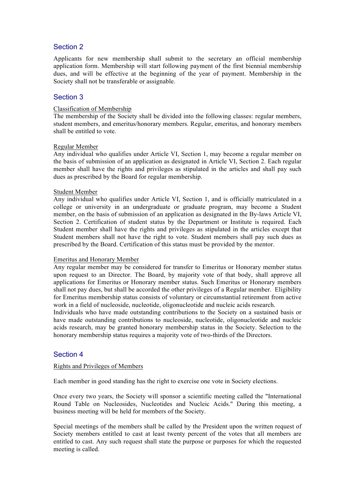## Section 2

Applicants for new membership shall submit to the secretary an official membership application form. Membership will start following payment of the first biennial membership dues, and will be effective at the beginning of the year of payment. Membership in the Society shall not be transferable or assignable.

## Section 3

#### Classification of Membership

The membership of the Society shall be divided into the following classes: regular members, student members, and emeritus/honorary members. Regular, emeritus, and honorary members shall be entitled to vote.

#### Regular Member

Any individual who qualifies under Article VI, Section 1, may become a regular member on the basis of submission of an application as designated in Article VI, Section 2. Each regular member shall have the rights and privileges as stipulated in the articles and shall pay such dues as prescribed by the Board for regular membership.

#### Student Member

Any individual who qualifies under Article VI, Section 1, and is officially matriculated in a college or university in an undergraduate or graduate program, may become a Student member, on the basis of submission of an application as designated in the By-laws Article VI, Section 2. Certification of student status by the Department or Institute is required. Each Student member shall have the rights and privileges as stipulated in the articles except that Student members shall not have the right to vote. Student members shall pay such dues as prescribed by the Board. Certification of this status must be provided by the mentor.

#### Emeritus and Honorary Member

Any regular member may be considered for transfer to Emeritus or Honorary member status upon request to an Director. The Board, by majority vote of that body, shall approve all applications for Emeritus or Honorary member status. Such Emeritus or Honorary members shall not pay dues, but shall be accorded the other privileges of a Regular member. Eligibility for Emeritus membership status consists of voluntary or circumstantial retirement from active work in a field of nucleoside, nucleotide, oligonucleotide and nucleic acids research.

Individuals who have made outstanding contributions to the Society on a sustained basis or have made outstanding contributions to nucleoside, nucleotide, oligonucleotide and nucleic acids research, may be granted honorary membership status in the Society. Selection to the honorary membership status requires a majority vote of two-thirds of the Directors.

## Section 4

#### Rights and Privileges of Members

Each member in good standing has the right to exercise one vote in Society elections.

Once every two years, the Society will sponsor a scientific meeting called the "International Round Table on Nucleosides, Nucleotides and Nucleic Acids." During this meeting, a business meeting will be held for members of the Society.

Special meetings of the members shall be called by the President upon the written request of Society members entitled to cast at least twenty percent of the votes that all members are entitled to cast. Any such request shall state the purpose or purposes for which the requested meeting is called.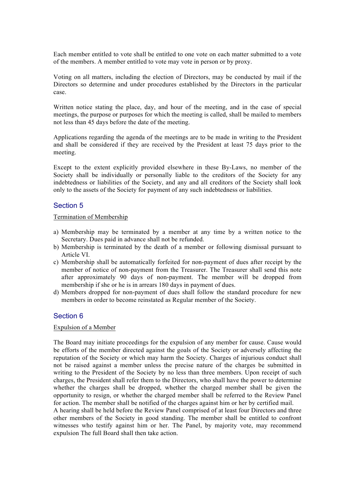Each member entitled to vote shall be entitled to one vote on each matter submitted to a vote of the members. A member entitled to vote may vote in person or by proxy.

Voting on all matters, including the election of Directors, may be conducted by mail if the Directors so determine and under procedures established by the Directors in the particular case.

Written notice stating the place, day, and hour of the meeting, and in the case of special meetings, the purpose or purposes for which the meeting is called, shall be mailed to members not less than 45 days before the date of the meeting.

Applications regarding the agenda of the meetings are to be made in writing to the President and shall be considered if they are received by the President at least 75 days prior to the meeting.

Except to the extent explicitly provided elsewhere in these By-Laws, no member of the Society shall be individually or personally liable to the creditors of the Society for any indebtedness or liabilities of the Society, and any and all creditors of the Society shall look only to the assets of the Society for payment of any such indebtedness or liabilities.

#### Section 5

#### Termination of Membership

- a) Membership may be terminated by a member at any time by a written notice to the Secretary. Dues paid in advance shall not be refunded.
- b) Membership is terminated by the death of a member or following dismissal pursuant to Article VI.
- c) Membership shall be automatically forfeited for non-payment of dues after receipt by the member of notice of non-payment from the Treasurer. The Treasurer shall send this note after approximately 90 days of non-payment. The member will be dropped from membership if she or he is in arrears 180 days in payment of dues.
- d) Members dropped for non-payment of dues shall follow the standard procedure for new members in order to become reinstated as Regular member of the Society.

## Section 6

#### Expulsion of a Member

The Board may initiate proceedings for the expulsion of any member for cause. Cause would be efforts of the member directed against the goals of the Society or adversely affecting the reputation of the Society or which may harm the Society. Charges of injurious conduct shall not be raised against a member unless the precise nature of the charges be submitted in writing to the President of the Society by no less than three members. Upon receipt of such charges, the President shall refer them to the Directors, who shall have the power to determine whether the charges shall be dropped, whether the charged member shall be given the opportunity to resign, or whether the charged member shall be referred to the Review Panel for action. The member shall be notified of the charges against him or her by certified mail.

A hearing shall be held before the Review Panel comprised of at least four Directors and three other members of the Society in good standing. The member shall be entitled to confront witnesses who testify against him or her. The Panel, by majority vote, may recommend expulsion The full Board shall then take action.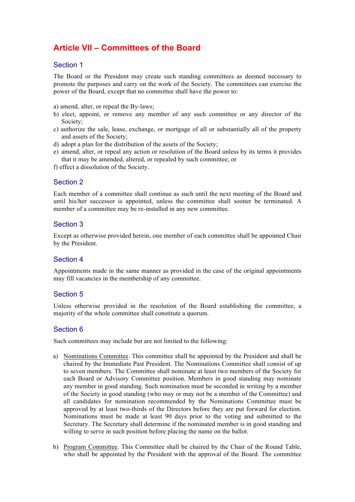# **Article VII – Committees of the Board**

## Section 1

The Board or the President may create such standing committees as deemed necessary to promote the purposes and carry on the work of the Society. The committees can exercise the power of the Board, except that no committee shall have the power to:

a) amend, alter, or repeal the By-laws;

- b) elect, appoint, or remove any member of any such committee or any director of the Society;
- c) authorize the sale, lease, exchange, or mortgage of all or substantially all of the property and assets of the Society;
- d) adopt a plan for the distribution of the assets of the Society;
- e) amend, alter, or repeal any action or resolution of the Board unless by its terms it provides that it may be amended, altered, or repealed by such committee; or
- f) effect a dissolution of the Society.

## Section 2

Each member of a committee shall continue as such until the next meeting of the Board and until his/her successor is appointed, unless the committee shall sooner be terminated. A member of a committee may be re-installed in any new committee.

## Section 3

Except as otherwise provided herein, one member of each committee shall be appointed Chair by the President.

## Section 4

Appointments made in the same manner as provided in the case of the original appointments may fill vacancies in the membership of any committee.

## Section 5

Unless otherwise provided in the resolution of the Board establishing the committee, a majority of the whole committee shall constitute a quorum.

## Section 6

Such committees may include but are not limited to the following:

- a) Nominations Committee. This committee shall be appointed by the President and shall be chaired by the Immediate Past President. The Nominations Committee shall consist of up to seven members. The Committee shall nominate at least two members of the Society for each Board or Advisory Committee position. Members in good standing may nominate any member in good standing. Such nomination must be seconded in writing by a member of the Society in good standing (who may or may not be a member of the Committee) and all candidates for nomination recommended by the Nominations Committee must be approved by at least two-thirds of the Directors before they are put forward for election. Nominations must be made at least 90 days prior to the voting and submitted to the Secretary. The Secretary shall determine if the nominated member is in good standing and willing to serve in such position before placing the name on the ballot.
- b) Program Committee. This Committee shall be chaired by the Chair of the Round Table, who shall be appointed by the President with the approval of the Board. The committee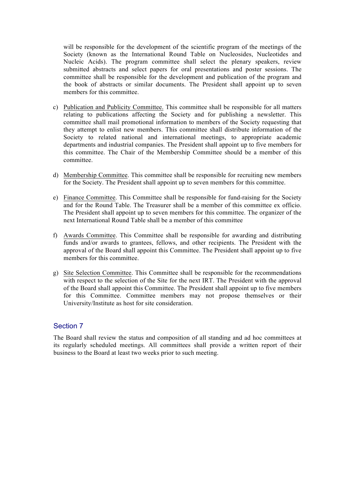will be responsible for the development of the scientific program of the meetings of the Society (known as the International Round Table on Nucleosides, Nucleotides and Nucleic Acids). The program committee shall select the plenary speakers, review submitted abstracts and select papers for oral presentations and poster sessions. The committee shall be responsible for the development and publication of the program and the book of abstracts or similar documents. The President shall appoint up to seven members for this committee.

- c) Publication and Publicity Committee. This committee shall be responsible for all matters relating to publications affecting the Society and for publishing a newsletter. This committee shall mail promotional information to members of the Society requesting that they attempt to enlist new members. This committee shall distribute information of the Society to related national and international meetings, to appropriate academic departments and industrial companies. The President shall appoint up to five members for this committee. The Chair of the Membership Committee should be a member of this committee.
- d) Membership Committee. This committee shall be responsible for recruiting new members for the Society. The President shall appoint up to seven members for this committee.
- e) Finance Committee. This Committee shall be responsible for fund-raising for the Society and for the Round Table. The Treasurer shall be a member of this committee ex officio. The President shall appoint up to seven members for this committee. The organizer of the next International Round Table shall be a member of this committee
- f) Awards Committee. This Committee shall be responsible for awarding and distributing funds and/or awards to grantees, fellows, and other recipients. The President with the approval of the Board shall appoint this Committee. The President shall appoint up to five members for this committee.
- g) Site Selection Committee. This Committee shall be responsible for the recommendations with respect to the selection of the Site for the next IRT. The President with the approval of the Board shall appoint this Committee. The President shall appoint up to five members for this Committee. Committee members may not propose themselves or their University/Institute as host for site consideration.

## Section 7

The Board shall review the status and composition of all standing and ad hoc committees at its regularly scheduled meetings. All committees shall provide a written report of their business to the Board at least two weeks prior to such meeting.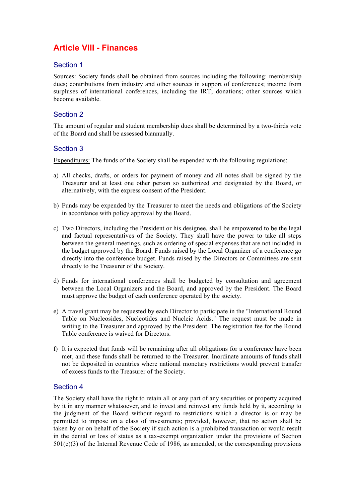# **Article VIII - Finances**

## Section 1

Sources: Society funds shall be obtained from sources including the following: membership dues; contributions from industry and other sources in support of conferences; income from surpluses of international conferences, including the IRT; donations; other sources which become available.

## Section 2

The amount of regular and student membership dues shall be determined by a two-thirds vote of the Board and shall be assessed biannually.

## Section 3

Expenditures: The funds of the Society shall be expended with the following regulations:

- a) All checks, drafts, or orders for payment of money and all notes shall be signed by the Treasurer and at least one other person so authorized and designated by the Board, or alternatively, with the express consent of the President.
- b) Funds may be expended by the Treasurer to meet the needs and obligations of the Society in accordance with policy approval by the Board.
- c) Two Directors, including the President or his designee, shall be empowered to be the legal and factual representatives of the Society. They shall have the power to take all steps between the general meetings, such as ordering of special expenses that are not included in the budget approved by the Board. Funds raised by the Local Organizer of a conference go directly into the conference budget. Funds raised by the Directors or Committees are sent directly to the Treasurer of the Society.
- d) Funds for international conferences shall be budgeted by consultation and agreement between the Local Organizers and the Board, and approved by the President. The Board must approve the budget of each conference operated by the society.
- e) A travel grant may be requested by each Director to participate in the "International Round Table on Nucleosides, Nucleotides and Nucleic Acids." The request must be made in writing to the Treasurer and approved by the President. The registration fee for the Round Table conference is waived for Directors.
- f) It is expected that funds will be remaining after all obligations for a conference have been met, and these funds shall be returned to the Treasurer. Inordinate amounts of funds shall not be deposited in countries where national monetary restrictions would prevent transfer of excess funds to the Treasurer of the Society.

## Section 4

The Society shall have the right to retain all or any part of any securities or property acquired by it in any manner whatsoever, and to invest and reinvest any funds held by it, according to the judgment of the Board without regard to restrictions which a director is or may be permitted to impose on a class of investments; provided, however, that no action shall be taken by or on behalf of the Society if such action is a prohibited transaction or would result in the denial or loss of status as a tax-exempt organization under the provisions of Section 501(c)(3) of the Internal Revenue Code of 1986, as amended, or the corresponding provisions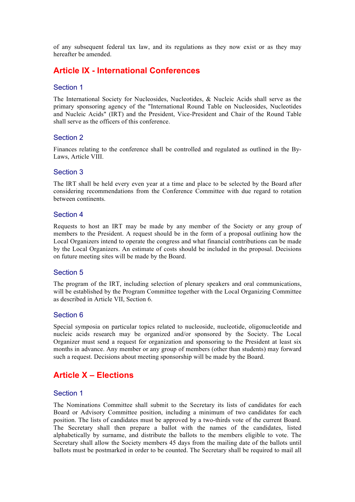of any subsequent federal tax law, and its regulations as they now exist or as they may hereafter be amended.

# **Article IX - International Conferences**

#### Section 1

The International Society for Nucleosides, Nucleotides, & Nucleic Acids shall serve as the primary sponsoring agency of the "International Round Table on Nucleosides, Nucleotides and Nucleic Acids" (IRT) and the President, Vice-President and Chair of the Round Table shall serve as the officers of this conference.

#### Section 2

Finances relating to the conference shall be controlled and regulated as outlined in the By-Laws, Article VIII.

#### Section 3

The IRT shall be held every even year at a time and place to be selected by the Board after considering recommendations from the Conference Committee with due regard to rotation between continents.

#### Section 4

Requests to host an IRT may be made by any member of the Society or any group of members to the President. A request should be in the form of a proposal outlining how the Local Organizers intend to operate the congress and what financial contributions can be made by the Local Organizers. An estimate of costs should be included in the proposal. Decisions on future meeting sites will be made by the Board.

#### Section 5

The program of the IRT, including selection of plenary speakers and oral communications, will be established by the Program Committee together with the Local Organizing Committee as described in Article VII, Section 6.

#### Section 6

Special symposia on particular topics related to nucleoside, nucleotide, oligonucleotide and nucleic acids research may be organized and/or sponsored by the Society. The Local Organizer must send a request for organization and sponsoring to the President at least six months in advance. Any member or any group of members (other than students) may forward such a request. Decisions about meeting sponsorship will be made by the Board.

# **Article X – Elections**

#### Section 1

The Nominations Committee shall submit to the Secretary its lists of candidates for each Board or Advisory Committee position, including a minimum of two candidates for each position. The lists of candidates must be approved by a two-thirds vote of the current Board. The Secretary shall then prepare a ballot with the names of the candidates, listed alphabetically by surname, and distribute the ballots to the members eligible to vote. The Secretary shall allow the Society members 45 days from the mailing date of the ballots until ballots must be postmarked in order to be counted. The Secretary shall be required to mail all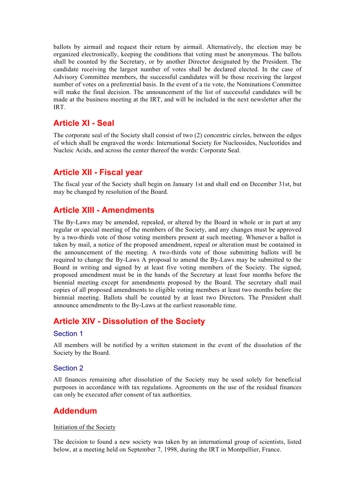ballots by airmail and request their return by airmail. Alternatively, the election may be organized electronically, keeping the conditions that voting must be anonymous. The ballots shall be counted by the Secretary, or by another Director designated by the President. The candidate receiving the largest number of votes shall be declared elected. In the case of Advisory Committee members, the successful candidates will be those receiving the largest number of votes on a preferential basis. In the event of a tie vote, the Nominations Committee will make the final decision. The announcement of the list of successful candidates will be made at the business meeting at the IRT, and will be included in the next newsletter after the IRT.

# **Article XI - Seal**

The corporate seal of the Society shall consist of two (2) concentric circles, between the edges of which shall be engraved the words: International Society for Nucleosides, Nucleotides and Nucleic Acids, and across the center thereof the words: Corporate Seal.

# **Article XII - Fiscal year**

The fiscal year of the Society shall begin on January 1st and shall end on December 31st, but may be changed by resolution of the Board.

# **Article XIII - Amendments**

The By-Laws may be amended, repealed, or altered by the Board in whole or in part at any regular or special meeting of the members of the Society, and any changes must be approved by a two-thirds vote of those voting members present at such meeting. Whenever a ballot is taken by mail, a notice of the proposed amendment, repeal or alteration must be contained in the announcement of the meeting. A two-thirds vote of those submitting ballots will be required to change the By-Laws A proposal to amend the By-Laws may be submitted to the Board in writing and signed by at least five voting members of the Society. The signed, proposed amendment must be in the hands of the Secretary at least four months before the biennial meeting except for amendments proposed by the Board. The secretary shall mail copies of all proposed amendments to eligible voting members at least two months before the biennial meeting. Ballots shall be counted by at least two Directors. The President shall announce amendments to the By-Laws at the earliest reasonable time.

# **Article XIV - Dissolution of the Society**

## Section 1

All members will be notified by a written statement in the event of the dissolution of the Society by the Board.

## Section 2

All finances remaining after dissolution of the Society may be used solely for beneficial purposes in accordance with tax regulations. Agreements on the use of the residual finances can only be executed after consent of tax authorities.

## **Addendum**

#### Initiation of the Society

The decision to found a new society was taken by an international group of scientists, listed below, at a meeting held on September 7, 1998, during the IRT in Montpellier, France.